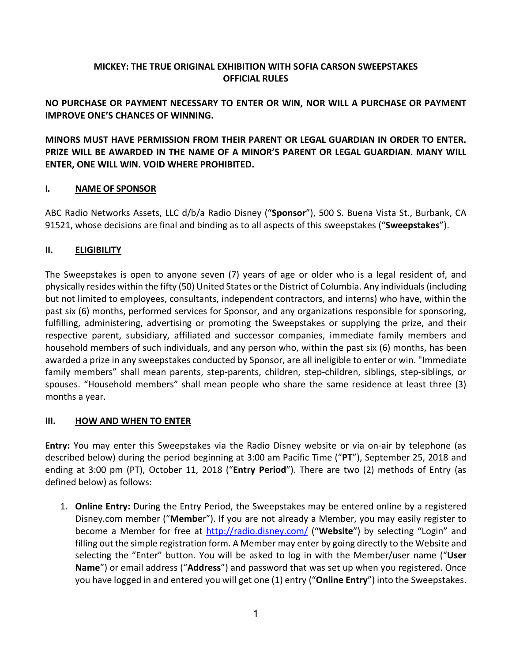## **MICKEY: THE TRUE ORIGINAL EXHIBITION WITH SOFIA CARSON SWEEPSTAKES OFFICIAL RULES**

**NO PURCHASE OR PAYMENT NECESSARY TO ENTER OR WIN, NOR WILL A PURCHASE OR PAYMENT IMPROVE ONE'S CHANCES OF WINNING.**

**MINORS MUST HAVE PERMISSION FROM THEIR PARENT OR LEGAL GUARDIAN IN ORDER TO ENTER. PRIZE WILL BE AWARDED IN THE NAME OF A MINOR'S PARENT OR LEGAL GUARDIAN. MANY WILL ENTER, ONE WILL WIN. VOID WHERE PROHIBITED.**

### **I. NAME OF SPONSOR**

ABC Radio Networks Assets, LLC d/b/a Radio Disney ("**Sponsor**"), 500 S. Buena Vista St., Burbank, CA 91521, whose decisions are final and binding as to all aspects of this sweepstakes ("**Sweepstakes**").

### **II. ELIGIBILITY**

The Sweepstakes is open to anyone seven (7) years of age or older who is a legal resident of, and physically resides within the fifty (50) United States orthe District of Columbia. Any individuals (including but not limited to employees, consultants, independent contractors, and interns) who have, within the past six (6) months, performed services for Sponsor, and any organizations responsible for sponsoring, fulfilling, administering, advertising or promoting the Sweepstakes or supplying the prize, and their respective parent, subsidiary, affiliated and successor companies, immediate family members and household members of such individuals, and any person who, within the past six (6) months, has been awarded a prize in any sweepstakes conducted by Sponsor, are all ineligible to enter or win. "Immediate family members" shall mean parents, step-parents, children, step-children, siblings, step-siblings, or spouses. "Household members" shall mean people who share the same residence at least three (3) months a year.

#### **III. HOW AND WHEN TO ENTER**

**Entry:** You may enter this Sweepstakes via the Radio Disney website or via on-air by telephone (as described below) during the period beginning at 3:00 am Pacific Time ("**PT**"), September 25, 2018 and ending at 3:00 pm (PT), October 11, 2018 ("**Entry Period**"). There are two (2) methods of Entry (as defined below) as follows:

1. **Online Entry:** During the Entry Period, the Sweepstakes may be entered online by a registered Disney.com member ("**Membe**r"). If you are not already a Member, you may easily register to become a Member for free at http://radio.disney.com/ ("**Website**") by selecting "Login" and filling out the simple registration form. A Member may enter by going directly to the Website and selecting the "Enter" button. You will be asked to log in with the Member/user name ("**User Name**") or email address ("**Address**") and password that was set up when you registered. Once you have logged in and entered you will get one (1) entry ("**Online Entry**") into the Sweepstakes.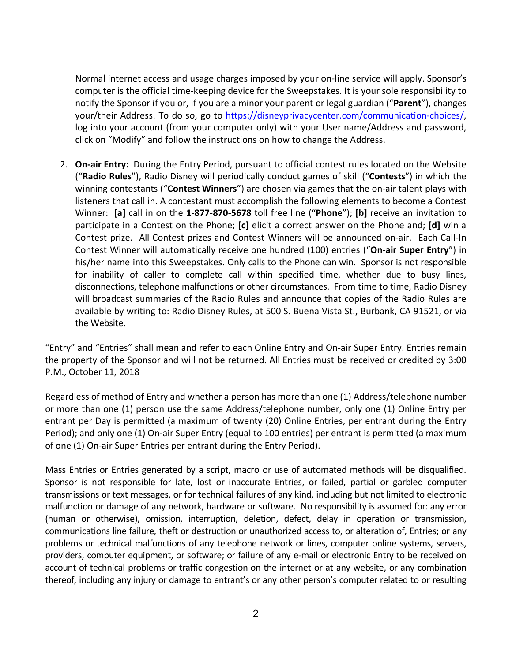Normal internet access and usage charges imposed by your on-line service will apply. Sponsor's computer is the official time-keeping device for the Sweepstakes. It is your sole responsibility to notify the Sponsor if you or, if you are a minor your parent or legal guardian ("**Parent**"), changes your/their Address. To do so, go to https://disneyprivacycenter.com/communication-choices/, log into your account (from your computer only) with your User name/Address and password, click on "Modify" and follow the instructions on how to change the Address.

2. **On-air Entry:** During the Entry Period, pursuant to official contest rules located on the Website ("**Radio Rules**"), Radio Disney will periodically conduct games of skill ("**Contests**") in which the winning contestants ("**Contest Winners**") are chosen via games that the on-air talent plays with listeners that call in. A contestant must accomplish the following elements to become a Contest Winner: **[a]** call in on the **1-877-870-5678** toll free line ("**Phone**"); **[b]** receive an invitation to participate in a Contest on the Phone; **[c]** elicit a correct answer on the Phone and; **[d]** win a Contest prize. All Contest prizes and Contest Winners will be announced on-air. Each Call-In Contest Winner will automatically receive one hundred (100) entries ("**On-air Super Entry**") in his/her name into this Sweepstakes. Only calls to the Phone can win. Sponsor is not responsible for inability of caller to complete call within specified time, whether due to busy lines, disconnections, telephone malfunctions or other circumstances. From time to time, Radio Disney will broadcast summaries of the Radio Rules and announce that copies of the Radio Rules are available by writing to: Radio Disney Rules, at 500 S. Buena Vista St., Burbank, CA 91521, or via the Website.

"Entry" and "Entries" shall mean and refer to each Online Entry and On-air Super Entry. Entries remain the property of the Sponsor and will not be returned. All Entries must be received or credited by 3:00 P.M., October 11, 2018

Regardless of method of Entry and whether a person has more than one (1) Address/telephone number or more than one (1) person use the same Address/telephone number, only one (1) Online Entry per entrant per Day is permitted (a maximum of twenty (20) Online Entries, per entrant during the Entry Period); and only one (1) On-air Super Entry (equal to 100 entries) per entrant is permitted (a maximum of one (1) On-air Super Entries per entrant during the Entry Period).

Mass Entries or Entries generated by a script, macro or use of automated methods will be disqualified. Sponsor is not responsible for late, lost or inaccurate Entries, or failed, partial or garbled computer transmissions or text messages, or for technical failures of any kind, including but not limited to electronic malfunction or damage of any network, hardware or software. No responsibility is assumed for: any error (human or otherwise), omission, interruption, deletion, defect, delay in operation or transmission, communications line failure, theft or destruction or unauthorized access to, or alteration of, Entries; or any problems or technical malfunctions of any telephone network or lines, computer online systems, servers, providers, computer equipment, or software; or failure of any e-mail or electronic Entry to be received on account of technical problems or traffic congestion on the internet or at any website, or any combination thereof, including any injury or damage to entrant's or any other person's computer related to or resulting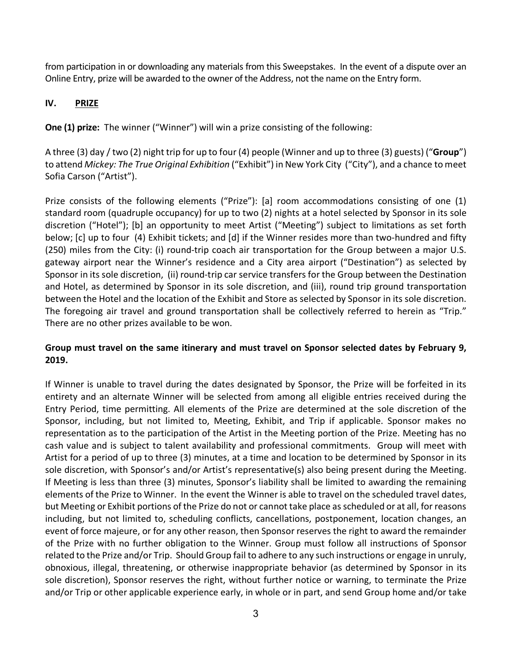from participation in or downloading any materials from this Sweepstakes. In the event of a dispute over an Online Entry, prize will be awarded to the owner of the Address, not the name on the Entry form.

# **IV. PRIZE**

**One (1) prize:** The winner ("Winner") will win a prize consisting of the following:

A three (3) day / two (2) night trip for up to four (4) people (Winner and up to three (3) guests) ("**Group**") to attend *Mickey: The True Original Exhibition* ("Exhibit") in New York City ("City"), and a chance to meet Sofia Carson ("Artist").

Prize consists of the following elements ("Prize"): [a] room accommodations consisting of one (1) standard room (quadruple occupancy) for up to two (2) nights at a hotel selected by Sponsor in its sole discretion ("Hotel"); [b] an opportunity to meet Artist ("Meeting") subject to limitations as set forth below; [c] up to four (4) Exhibit tickets; and [d] if the Winner resides more than two-hundred and fifty (250) miles from the City: (i) round-trip coach air transportation for the Group between a major U.S. gateway airport near the Winner's residence and a City area airport ("Destination") as selected by Sponsor in its sole discretion, (ii) round-trip car service transfers for the Group between the Destination and Hotel, as determined by Sponsor in its sole discretion, and (iii), round trip ground transportation between the Hotel and the location of the Exhibit and Store as selected by Sponsor in its sole discretion. The foregoing air travel and ground transportation shall be collectively referred to herein as "Trip." There are no other prizes available to be won.

### **Group must travel on the same itinerary and must travel on Sponsor selected dates by February 9, 2019.**

If Winner is unable to travel during the dates designated by Sponsor, the Prize will be forfeited in its entirety and an alternate Winner will be selected from among all eligible entries received during the Entry Period, time permitting. All elements of the Prize are determined at the sole discretion of the Sponsor, including, but not limited to, Meeting, Exhibit, and Trip if applicable. Sponsor makes no representation as to the participation of the Artist in the Meeting portion of the Prize. Meeting has no cash value and is subject to talent availability and professional commitments. Group will meet with Artist for a period of up to three (3) minutes, at a time and location to be determined by Sponsor in its sole discretion, with Sponsor's and/or Artist's representative(s) also being present during the Meeting. If Meeting is less than three (3) minutes, Sponsor's liability shall be limited to awarding the remaining elements of the Prize to Winner. In the event the Winner is able to travel on the scheduled travel dates, but Meeting or Exhibit portions of the Prize do not or cannot take place as scheduled or at all, for reasons including, but not limited to, scheduling conflicts, cancellations, postponement, location changes, an event of force majeure, or for any other reason, then Sponsor reserves the right to award the remainder of the Prize with no further obligation to the Winner. Group must follow all instructions of Sponsor related to the Prize and/or Trip. Should Group fail to adhere to any such instructions or engage in unruly, obnoxious, illegal, threatening, or otherwise inappropriate behavior (as determined by Sponsor in its sole discretion), Sponsor reserves the right, without further notice or warning, to terminate the Prize and/or Trip or other applicable experience early, in whole or in part, and send Group home and/or take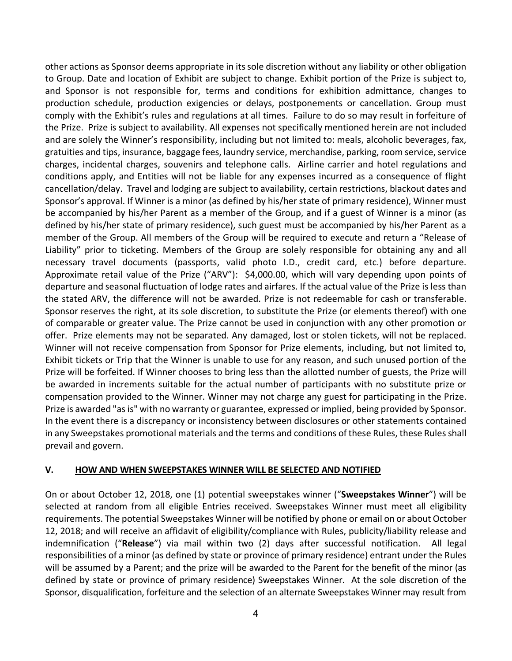other actions as Sponsor deems appropriate in its sole discretion without any liability or other obligation to Group. Date and location of Exhibit are subject to change. Exhibit portion of the Prize is subject to, and Sponsor is not responsible for, terms and conditions for exhibition admittance, changes to production schedule, production exigencies or delays, postponements or cancellation. Group must comply with the Exhibit's rules and regulations at all times. Failure to do so may result in forfeiture of the Prize. Prize is subject to availability. All expenses not specifically mentioned herein are not included and are solely the Winner's responsibility, including but not limited to: meals, alcoholic beverages, fax, gratuities and tips, insurance, baggage fees, laundry service, merchandise, parking, room service, service charges, incidental charges, souvenirs and telephone calls. Airline carrier and hotel regulations and conditions apply, and Entities will not be liable for any expenses incurred as a consequence of flight cancellation/delay. Travel and lodging are subject to availability, certain restrictions, blackout dates and Sponsor's approval. If Winner is a minor (as defined by his/her state of primary residence), Winner must be accompanied by his/her Parent as a member of the Group, and if a guest of Winner is a minor (as defined by his/her state of primary residence), such guest must be accompanied by his/her Parent as a member of the Group. All members of the Group will be required to execute and return a "Release of Liability" prior to ticketing. Members of the Group are solely responsible for obtaining any and all necessary travel documents (passports, valid photo I.D., credit card, etc.) before departure. Approximate retail value of the Prize ("ARV"): \$4,000.00, which will vary depending upon points of departure and seasonal fluctuation of lodge rates and airfares. If the actual value of the Prize is less than the stated ARV, the difference will not be awarded. Prize is not redeemable for cash or transferable. Sponsor reserves the right, at its sole discretion, to substitute the Prize (or elements thereof) with one of comparable or greater value. The Prize cannot be used in conjunction with any other promotion or offer. Prize elements may not be separated. Any damaged, lost or stolen tickets, will not be replaced. Winner will not receive compensation from Sponsor for Prize elements, including, but not limited to, Exhibit tickets or Trip that the Winner is unable to use for any reason, and such unused portion of the Prize will be forfeited. If Winner chooses to bring less than the allotted number of guests, the Prize will be awarded in increments suitable for the actual number of participants with no substitute prize or compensation provided to the Winner. Winner may not charge any guest for participating in the Prize. Prize is awarded "as is" with no warranty or guarantee, expressed or implied, being provided by Sponsor. In the event there is a discrepancy or inconsistency between disclosures or other statements contained in any Sweepstakes promotional materials and the terms and conditions of these Rules, these Rules shall prevail and govern.

#### **V. HOW AND WHEN SWEEPSTAKES WINNER WILL BE SELECTED AND NOTIFIED**

On or about October 12, 2018, one (1) potential sweepstakes winner ("**Sweepstakes Winner**") will be selected at random from all eligible Entries received. Sweepstakes Winner must meet all eligibility requirements. The potential Sweepstakes Winner will be notified by phone or email on or about October 12, 2018; and will receive an affidavit of eligibility/compliance with Rules, publicity/liability release and indemnification ("**Release**") via mail within two (2) days after successful notification. All legal responsibilities of a minor (as defined by state or province of primary residence) entrant under the Rules will be assumed by a Parent; and the prize will be awarded to the Parent for the benefit of the minor (as defined by state or province of primary residence) Sweepstakes Winner. At the sole discretion of the Sponsor, disqualification, forfeiture and the selection of an alternate Sweepstakes Winner may result from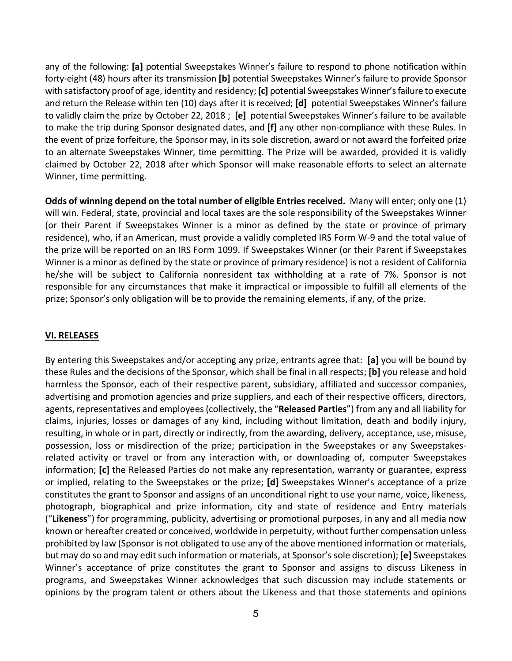any of the following: **[a]** potential Sweepstakes Winner's failure to respond to phone notification within forty-eight (48) hours after its transmission **[b]** potential Sweepstakes Winner's failure to provide Sponsor with satisfactory proof of age, identity and residency; **[c]** potential Sweepstakes Winner's failure to execute and return the Release within ten (10) days after it is received; **[d]** potential Sweepstakes Winner's failure to validly claim the prize by October 22, 2018 ; **[e]** potential Sweepstakes Winner's failure to be available to make the trip during Sponsor designated dates, and **[f]** any other non-compliance with these Rules. In the event of prize forfeiture, the Sponsor may, in its sole discretion, award or not award the forfeited prize to an alternate Sweepstakes Winner, time permitting. The Prize will be awarded, provided it is validly claimed by October 22, 2018 after which Sponsor will make reasonable efforts to select an alternate Winner, time permitting.

**Odds of winning depend on the total number of eligible Entries received.** Many will enter; only one (1) will win. Federal, state, provincial and local taxes are the sole responsibility of the Sweepstakes Winner (or their Parent if Sweepstakes Winner is a minor as defined by the state or province of primary residence), who, if an American, must provide a validly completed IRS Form W-9 and the total value of the prize will be reported on an IRS Form 1099. If Sweepstakes Winner (or their Parent if Sweepstakes Winner is a minor as defined by the state or province of primary residence) is not a resident of California he/she will be subject to California nonresident tax withholding at a rate of 7%. Sponsor is not responsible for any circumstances that make it impractical or impossible to fulfill all elements of the prize; Sponsor's only obligation will be to provide the remaining elements, if any, of the prize.

### **VI. RELEASES**

By entering this Sweepstakes and/or accepting any prize, entrants agree that: **[a]** you will be bound by these Rules and the decisions of the Sponsor, which shall be final in all respects; **[b]** you release and hold harmless the Sponsor, each of their respective parent, subsidiary, affiliated and successor companies, advertising and promotion agencies and prize suppliers, and each of their respective officers, directors, agents, representatives and employees (collectively, the "**Released Parties**") from any and all liability for claims, injuries, losses or damages of any kind, including without limitation, death and bodily injury, resulting, in whole or in part, directly or indirectly, from the awarding, delivery, acceptance, use, misuse, possession, loss or misdirection of the prize; participation in the Sweepstakes or any Sweepstakesrelated activity or travel or from any interaction with, or downloading of, computer Sweepstakes information; **[c]** the Released Parties do not make any representation, warranty or guarantee, express or implied, relating to the Sweepstakes or the prize; **[d]** Sweepstakes Winner's acceptance of a prize constitutes the grant to Sponsor and assigns of an unconditional right to use your name, voice, likeness, photograph, biographical and prize information, city and state of residence and Entry materials ("**Likeness**") for programming, publicity, advertising or promotional purposes, in any and all media now known or hereafter created or conceived, worldwide in perpetuity, without further compensation unless prohibited by law (Sponsor is not obligated to use any of the above mentioned information or materials, but may do so and may edit such information or materials, at Sponsor's sole discretion); **[e]** Sweepstakes Winner's acceptance of prize constitutes the grant to Sponsor and assigns to discuss Likeness in programs, and Sweepstakes Winner acknowledges that such discussion may include statements or opinions by the program talent or others about the Likeness and that those statements and opinions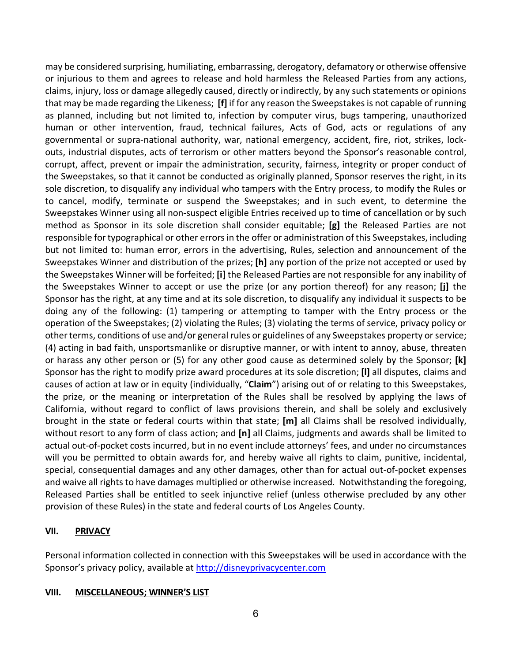may be considered surprising, humiliating, embarrassing, derogatory, defamatory or otherwise offensive or injurious to them and agrees to release and hold harmless the Released Parties from any actions, claims, injury, loss or damage allegedly caused, directly or indirectly, by any such statements or opinions that may be made regarding the Likeness; **[f]** if for any reason the Sweepstakes is not capable of running as planned, including but not limited to, infection by computer virus, bugs tampering, unauthorized human or other intervention, fraud, technical failures, Acts of God, acts or regulations of any governmental or supra-national authority, war, national emergency, accident, fire, riot, strikes, lockouts, industrial disputes, acts of terrorism or other matters beyond the Sponsor's reasonable control, corrupt, affect, prevent or impair the administration, security, fairness, integrity or proper conduct of the Sweepstakes, so that it cannot be conducted as originally planned, Sponsor reserves the right, in its sole discretion, to disqualify any individual who tampers with the Entry process, to modify the Rules or to cancel, modify, terminate or suspend the Sweepstakes; and in such event, to determine the Sweepstakes Winner using all non-suspect eligible Entries received up to time of cancellation or by such method as Sponsor in its sole discretion shall consider equitable; **[g]** the Released Parties are not responsible for typographical or other errors in the offer or administration of this Sweepstakes, including but not limited to: human error, errors in the advertising, Rules, selection and announcement of the Sweepstakes Winner and distribution of the prizes; **[h]** any portion of the prize not accepted or used by the Sweepstakes Winner will be forfeited; **[i]** the Released Parties are not responsible for any inability of the Sweepstakes Winner to accept or use the prize (or any portion thereof) for any reason; **[j]** the Sponsor has the right, at any time and at its sole discretion, to disqualify any individual it suspects to be doing any of the following: (1) tampering or attempting to tamper with the Entry process or the operation of the Sweepstakes; (2) violating the Rules; (3) violating the terms of service, privacy policy or other terms, conditions of use and/or general rules or guidelines of any Sweepstakes property or service; (4) acting in bad faith, unsportsmanlike or disruptive manner, or with intent to annoy, abuse, threaten or harass any other person or (5) for any other good cause as determined solely by the Sponsor; **[k]** Sponsor has the right to modify prize award procedures at its sole discretion; **[l]** all disputes, claims and causes of action at law or in equity (individually, "**Claim**") arising out of or relating to this Sweepstakes, the prize, or the meaning or interpretation of the Rules shall be resolved by applying the laws of California, without regard to conflict of laws provisions therein, and shall be solely and exclusively brought in the state or federal courts within that state; **[m]** all Claims shall be resolved individually, without resort to any form of class action; and **[n]** all Claims, judgments and awards shall be limited to actual out-of-pocket costs incurred, but in no event include attorneys' fees, and under no circumstances will you be permitted to obtain awards for, and hereby waive all rights to claim, punitive, incidental, special, consequential damages and any other damages, other than for actual out-of-pocket expenses and waive all rights to have damages multiplied or otherwise increased. Notwithstanding the foregoing, Released Parties shall be entitled to seek injunctive relief (unless otherwise precluded by any other provision of these Rules) in the state and federal courts of Los Angeles County.

### **VII. PRIVACY**

Personal information collected in connection with this Sweepstakes will be used in accordance with the Sponsor's privacy policy, available at http://disneyprivacycenter.com

#### **VIII. MISCELLANEOUS; WINNER'S LIST**